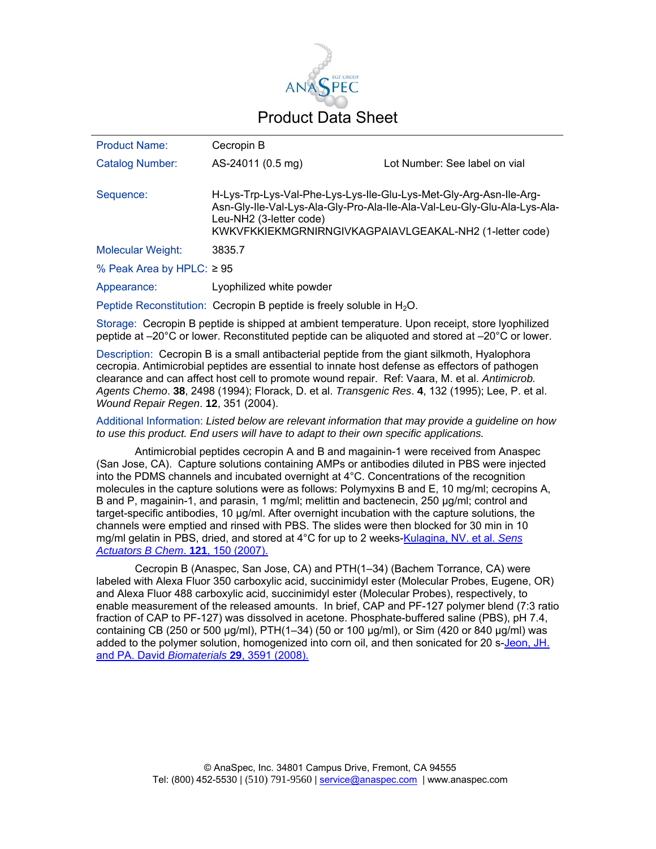

| <b>Product Name:</b>           | Cecropin B                                                                                    |                                                                                                                                     |
|--------------------------------|-----------------------------------------------------------------------------------------------|-------------------------------------------------------------------------------------------------------------------------------------|
| <b>Catalog Number:</b>         | AS-24011 (0.5 mg)                                                                             | Lot Number: See label on vial                                                                                                       |
| Sequence:                      | H-Lys-Trp-Lys-Val-Phe-Lys-Lys-Ile-Glu-Lys-Met-Gly-Arg-Asn-Ile-Arg-<br>Leu-NH2 (3-letter code) | Asn-Gly-Ile-Val-Lys-Ala-Gly-Pro-Ala-Ile-Ala-Val-Leu-Gly-Glu-Ala-Lys-Ala-<br>KWKVFKKIEKMGRNIRNGIVKAGPAIAVLGEAKAL-NH2 (1-letter code) |
| <b>Molecular Weight:</b>       | 3835.7                                                                                        |                                                                                                                                     |
| % Peak Area by HPLC: $\geq 95$ |                                                                                               |                                                                                                                                     |
| Appearance:                    | Lyophilized white powder                                                                      |                                                                                                                                     |
|                                | Peptide Reconstitution: Cecropin B peptide is freely soluble in $H_2O$ .                      |                                                                                                                                     |

Storage: Cecropin B peptide is shipped at ambient temperature. Upon receipt, store lyophilized peptide at –20°C or lower. Reconstituted peptide can be aliquoted and stored at –20°C or lower.

Description: Cecropin B is a small antibacterial peptide from the giant silkmoth, Hyalophora cecropia. Antimicrobial peptides are essential to innate host defense as effectors of pathogen clearance and can affect host cell to promote wound repair. Ref: Vaara, M. et al. *Antimicrob. Agents Chemo*. **38**, 2498 (1994); Florack, D. et al. *Transgenic Res*. **4**, 132 (1995); Lee, P. et al. *Wound Repair Regen*. **12**, 351 (2004).

Additional Information: *Listed below are relevant information that may provide a guideline on how to use this product. End users will have to adapt to their own specific applications.* 

Antimicrobial peptides cecropin A and B and magainin-1 were received from Anaspec (San Jose, CA). Capture solutions containing AMPs or antibodies diluted in PBS were injected into the PDMS channels and incubated overnight at 4°C. Concentrations of the recognition molecules in the capture solutions were as follows: Polymyxins B and E, 10 mg/ml; cecropins A, B and P, magainin-1, and parasin, 1 mg/ml; melittin and bactenecin, 250 μg/ml; control and target-specific antibodies, 10 μg/ml. After overnight incubation with the capture solutions, the channels were emptied and rinsed with PBS. The slides were then blocked for 30 min in 10 mg/ml gelatin in PBS, dried, and stored at 4°C for up to 2 weeks-Kulagina, NV. et al. *Sens Actuators B Chem*. **121**, 150 (2007).

Cecropin B (Anaspec, San Jose, CA) and PTH(1–34) (Bachem Torrance, CA) were labeled with Alexa Fluor 350 carboxylic acid, succinimidyl ester (Molecular Probes, Eugene, OR) and Alexa Fluor 488 carboxylic acid, succinimidyl ester (Molecular Probes), respectively, to enable measurement of the released amounts. In brief, CAP and PF-127 polymer blend (7:3 ratio fraction of CAP to PF-127) was dissolved in acetone. Phosphate-buffered saline (PBS), pH 7.4, containing CB (250 or 500 μg/ml), PTH(1–34) (50 or 100 μg/ml), or Sim (420 or 840 μg/ml) was added to the polymer solution, homogenized into corn oil, and then sonicated for 20 s-Jeon, JH. and PA. David *Biomaterials* **29**, 3591 (2008).